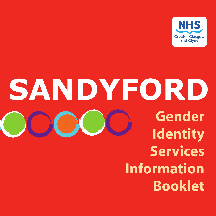

# SANDYFORD **Gender Identity Services Information Booklet**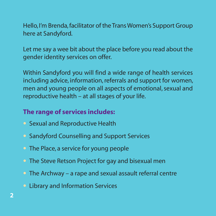Hello, I'm Brenda, facilitator of the Trans Women's Support Group here at Sandyford.

Let me say a wee bit about the place before you read about the gender identity services on offer.

Within Sandyford you will find a wide range of health services including advice, information, referrals and support for women, men and young people on all aspects of emotional, sexual and reproductive health – at all stages of your life.

#### **The range of services includes:**

- **•** Sexual and Reproductive Health
- **•** Sandyford Counselling and Support Services
- **•** The Place, a service for young people
- **•** The Steve Retson Project for gay and bisexual men
- **•** The Archway a rape and sexual assault referral centre
- **•** Library and Information Services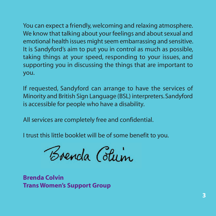You can expect a friendly, welcoming and relaxing atmosphere. We know that talking about your feelings and about sexual and emotional health issues might seem embarrassing and sensitive. It is Sandyford's aim to put you in control as much as possible, taking things at your speed, responding to your issues, and supporting you in discussing the things that are important to you.

If requested, Sandyford can arrange to have the services of Minority and British Sign Language (BSL) interpreters.Sandyford is accessible for people who have a disability.

All services are completely free and confidential.

I trust this little booklet will be of some benefit to you.

Boenda Colum

**Brenda Colvin Trans Women's Support Group**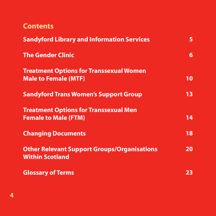|  | Content |  |
|--|---------|--|
|  |         |  |

| <b>Sandyford Library and Information Services</b>                             | 5  |
|-------------------------------------------------------------------------------|----|
| <b>The Gender Clinic</b>                                                      | 6  |
| <b>Treatment Options for Transsexual Women</b><br><b>Male to Female (MTF)</b> | 10 |
| <b>Sandyford Trans Women's Support Group</b>                                  | 13 |
| <b>Treatment Options for Transsexual Men</b><br><b>Female to Male (FTM)</b>   | 14 |
| <b>Changing Documents</b>                                                     | 18 |
| <b>Other Relevant Support Groups/Organisations</b><br><b>Within Scotland</b>  | 20 |
| <b>Glossary of Terms</b>                                                      | 23 |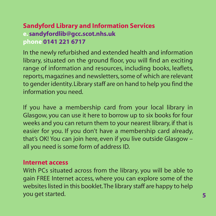#### **Sandyford Library and Information Services e. sandyfordlib@gcc.scot.nhs.uk phone 0141 221 6717**

In the newly refurbished and extended health and information library, situated on the ground floor, you will find an exciting range of information and resources, including books, leaflets, reports, magazines and newsletters, some of which are relevant to gender identity. Library staff are on hand to help you find the information you need.

If you have a membership card from your local library in Glasgow, you can use it here to borrow up to six books for four weeks and you can return them to your nearest library, if that is easier for you. If you don't have a membership card already, that's OK! You can join here, even if you live outside Glasgow – all you need is some form of address ID.

#### **Internet access**

With PCs situated across from the library, you will be able to gain FREE Internet access, where you can explore some of the websites listed in this booklet.The library staff are happy to help you get started. **5**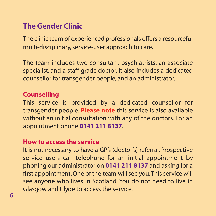#### **The Gender Clinic**

The clinic team of experienced professionals offers a resourceful multi-disciplinary, service-user approach to care.

The team includes two consultant psychiatrists, an associate specialist, and a staff grade doctor. It also includes a dedicated counsellor for transgender people, and an administrator.

#### **Counselling**

This service is provided by a dedicated counsellor for transgender people. **Please note** this service is also available without an initial consultation with any of the doctors. For an appointment phone **0141 211 8137**.

#### **How to access the service**

It is not necessary to have a GP's (doctor's) referral. Prospective service users can telephone for an initial appointment by phoning our administrator on **0141 211 8137** and asking for a first appointment. One of the team will see you.This service will see anyone who lives in Scotland. You do not need to live in Glasgow and Clyde to access the service.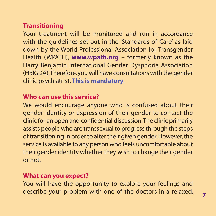#### **Transitioning**

Your treatment will be monitored and run in accordance with the guidelines set out in the 'Standards of Care' as laid down by the World Professional Association for Transgender Health (WPATH), **www.wpath.org** – formerly known as the Harry Benjamin International Gender Dysphoria Association (HBIGDA).Therefore,you will have consultations with the gender clinic psychiatrist. **This is mandatory**.

#### **Who can use this service?**

We would encourage anyone who is confused about their gender identity or expression of their gender to contact the clinic for an open and confidential discussion.The clinic primarily assists people who are transsexual to progress through the steps of transitioning in order to alter their given gender.However, the service is available to any person who feels uncomfortable about their gender identity whether they wish to change their gender or not.

#### **What can you expect?**

You will have the opportunity to explore your feelings and describe your problem with one of the doctors in a relaxed, **<sup>7</sup>**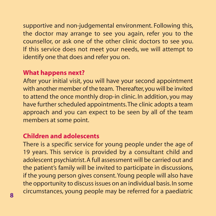supportive and non-judgemental environment. Following this, the doctor may arrange to see you again, refer you to the counsellor, or ask one of the other clinic doctors to see you. If this service does not meet your needs, we will attempt to identify one that does and refer you on.

#### **What happens next?**

After your initial visit, you will have your second appointment with another member of the team. Thereafter, you will be invited to attend the once monthly drop-in clinic. In addition, you may have further scheduled appointments.The clinic adopts a team approach and you can expect to be seen by all of the team members at some point.

#### **Children and adolescents**

There is a specific service for young people under the age of 19 years. This service is provided by a consultant child and adolescent psychiatrist.A full assessment will be carried out and the patient's family will be invited to participate in discussions, if the young person gives consent. Young people will also have the opportunity to discuss issues on an individual basis.In some circumstances, young people may be referred for a paediatric **<sup>8</sup>**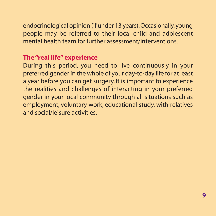endocrinological opinion (if under 13 years).Occasionally,young people may be referred to their local child and adolescent mental health team for further assessment/interventions.

#### **The "real life" experience**

During this period, you need to live continuously in your preferred gender in the whole of your day-to-day life for at least a year before you can get surgery. It is important to experience the realities and challenges of interacting in your preferred gender in your local community through all situations such as employment, voluntary work, educational study, with relatives and social/leisure activities.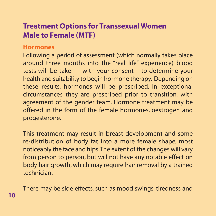#### **Treatment Options for Transsexual Women Male to Female (MTF)**

#### **Hormones**

Following a period of assessment (which normally takes place around three months into the "real life" experience) blood tests will be taken – with your consent – to determine your health and suitability to begin hormone therapy. Depending on these results, hormones will be prescribed. In exceptional circumstances they are prescribed prior to transition, with agreement of the gender team. Hormone treatment may be offered in the form of the female hormones, oestrogen and progesterone.

This treatment may result in breast development and some re-distribution of body fat into a more female shape, most noticeably the face and hips.The extent of the changes will vary from person to person, but will not have any notable effect on body hair growth, which may require hair removal by a trained technician.

There may be side effects, such as mood swings, tiredness and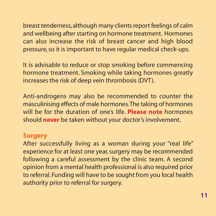breast tenderness,although many clients report feelings of calm and wellbeing after starting on hormone treatment. Hormones can also increase the risk of breast cancer and high blood pressure, so it is important to have regular medical check-ups.

It is advisable to reduce or stop smoking before commencing hormone treatment. Smoking while taking hormones greatly increases the risk of deep vein thrombosis (DVT).

Anti-androgens may also be recommended to counter the masculinising effects of male hormones.The taking of hormones will be for the duration of one's life. **Please note** hormones should **never** be taken without your doctor's involvement.

#### **Surgery**

After successfully living as a woman during your "real life" experience for at least one year, surgery may be recommended following a careful assessment by the clinic team. A second opinion from a mental health professional is also required prior to referral. Funding will have to be sought from you local health authority prior to referral for surgery.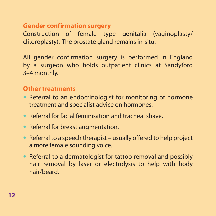#### **Gender confirmation surgery**

Construction of female type genitalia (vaginoplasty/ clitoroplasty). The prostate gland remains in-situ.

All gender confirmation surgery is performed in England by a surgeon who holds outpatient clinics at Sandyford 3–4 monthly.

#### **Other treatments**

- **•** Referral to an endocrinologist for monitoring of hormone treatment and specialist advice on hormones.
- **•** Referral for facial feminisation and tracheal shave.
- **•** Referral for breast augmentation.
- **•** Referral to a speech therapist usually offered to help project a more female sounding voice.
- **•** Referral to a dermatologist for tattoo removal and possibly hair removal by laser or electrolysis to help with body hair/beard.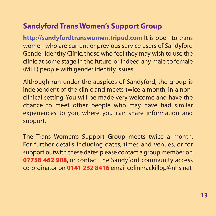#### **Sandyford Trans Women's Support Group**

**http://sandyfordtranswomen.tripod.com** It is open to trans women who are current or previous service users of Sandyford Gender Identity Clinic, those who feel they may wish to use the clinic at some stage in the future, or indeed any male to female (MTF) people with gender identity issues.

Although run under the auspices of Sandyford, the group is independent of the clinic and meets twice a month, in a nonclinical setting. You will be made very welcome and have the chance to meet other people who may have had similar experiences to you, where you can share information and support.

The Trans Women's Support Group meets twice a month. For further details including dates, times and venues, or for support outwith these dates please contact a group member on **07758 462 988**, or contact the Sandyford community access co-ordinator on **0141 232 8416** email colinmackillop@nhs.net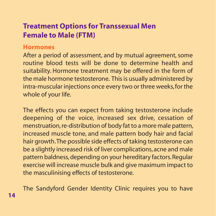#### **Treatment Options for Transsexual Men Female to Male (FTM)**

#### **Hormones**

After a period of assessment, and by mutual agreement, some routine blood tests will be done to determine health and suitability. Hormone treatment may be offered in the form of the male hormone testosterone. This is usually administered by intra-muscular injections once every two or three weeks, for the whole of your life.

The effects you can expect from taking testosterone include deepening of the voice, increased sex drive, cessation of menstruation, re-distribution of body fat to a more male pattern, increased muscle tone, and male pattern body hair and facial hair growth.The possible side effects of taking testosterone can be a slightly increased risk of liver complications, acne and male pattern baldness, depending on your hereditary factors.Regular exercise will increase muscle bulk and give maximum impact to the masculinising effects of testosterone.

The Sandyford Gender Identity Clinic requires you to have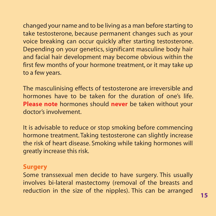changed your name and to be living as a man before starting to take testosterone, because permanent changes such as your voice breaking can occur quickly after starting testosterone. Depending on your genetics, significant masculine body hair and facial hair development may become obvious within the first few months of your hormone treatment, or it may take up to a few years.

The masculinising effects of testosterone are irreversible and hormones have to be taken for the duration of one's life. **Please note** hormones should **never** be taken without your doctor's involvement.

It is advisable to reduce or stop smoking before commencing hormone treatment. Taking testosterone can slightly increase the risk of heart disease. Smoking while taking hormones will greatly increase this risk.

#### **Surgery**

Some transsexual men decide to have surgery. This usually involves bi-lateral mastectomy (removal of the breasts and reduction in the size of the nipples). This can be arranged **<sup>15</sup>**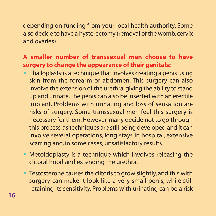depending on funding from your local health authority. Some also decide to have a hysterectomy (removal of the womb,cervix and ovaries).

#### **A smaller number of transsexual men choose to have surgery to change the appearance of their genitals:**

- **•** Phalloplasty is a technique that involves creating a penis using skin from the forearm or abdomen. This surgery can also involve the extension of the urethra, giving the ability to stand up and urinate.The penis can also be inserted with an erectile implant. Problems with urinating and loss of sensation are risks of surgery. Some transsexual men feel this surgery is necessary for them. However, many decide not to go through this process, as techniques are still being developed and it can involve several operations, long stays in hospital, extensive scarring and, in some cases, unsatisfactory results.
- **•** Metoidoplasty is a technique which involves releasing the clitoral hood and extending the urethra.
- **•** Testosterone causes the clitoris to grow slightly, and this with surgery can make it look like a very small penis, while still retaining its sensitivity. Problems with urinating can be a risk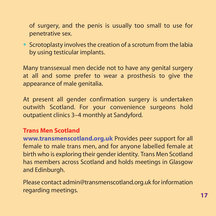of surgery, and the penis is usually too small to use for penetrative sex.

**•** Scrotoplasty involves the creation of a scrotum from the labia by using testicular implants.

Many transsexual men decide not to have any genital surgery at all and some prefer to wear a prosthesis to give the appearance of male genitalia.

At present all gender confirmation surgery is undertaken outwith Scotland. For your convenience surgeons hold outpatient clinics 3–4 monthly at Sandyford.

#### **Trans Men Scotland**

**www.transmenscotland.org.uk** Provides peer support for all female to male trans men, and for anyone labelled female at birth who is exploring their gender identity. Trans Men Scotland has members across Scotland and holds meetings in Glasgow and Edinburgh.

Please contact admin@transmenscotland.org.uk for information regarding meetings. **17**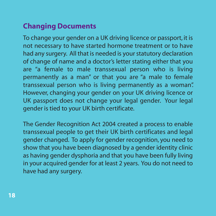### **Changing Documents**

To change your gender on a UK driving licence or passport, it is not necessary to have started hormone treatment or to have had any surgery. All that is needed is your statutory declaration of change of name and a doctor's letter stating either that you are "a female to male transsexual person who is living permanently as a man" or that you are "a male to female transsexual person who is living permanently as a woman". However, changing your gender on your UK driving licence or UK passport does not change your legal gender. Your legal gender is tied to your UK birth certificate.

The Gender Recognition Act 2004 created a process to enable transsexual people to get their UK birth certificates and legal gender changed. To apply for gender recognition, you need to show that you have been diagnosed by a gender identity clinic as having gender dysphoria and that you have been fully living in your acquired gender for at least 2 years. You do not need to have had any surgery.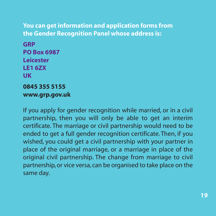#### **You can get information and application forms from the Gender Recognition Panel whose address is:**

**GRP PO Box 6987 Leicester LE1 6ZX UK 0845 355 5155 www.grp.gov.uk**

If you apply for gender recognition while married, or in a civil partnership, then you will only be able to get an interim certificate. The marriage or civil partnership would need to be ended to get a full gender recognition certificate. Then, if you wished, you could get a civil partnership with your partner in place of the original marriage, or a marriage in place of the original civil partnership. The change from marriage to civil partnership, or vice versa, can be organised to take place on the same day.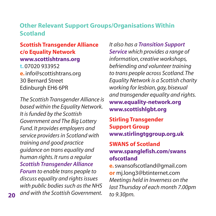#### **Other Relevant Support Groups/Organisations Within Scotland**

#### **Scottish Transgender Alliance c/o Equality Network www.scottishtrans.org t.** 07020 933952 **e.** info@scottishtrans.org 30 Bernard Street Edinburgh EH6 6PR

The Scottish Transgender Alliance is based within the Equality Network. It is funded by the Scottish Government and The Big Lottery Fund. It provides employers and service providers in Scotland with training and good practice guidance on trans equality and human rights. It runs a regular **Scottish Transgender Alliance Forum** to enable trans people to discuss equality and rights issues with public bodies such as the NHS 20 and with the Scottish Government.

It also has a **Transition Support Service** which provides a range of information, creative workshops, befriending and volunteer training to trans people across Scotland.The Equality Network is a Scottish charity working for lesbian, gay, bisexual and transgender equality and rights. **www.equality-network.org www.scottishlgbt.org**

**Stirling Transgender Support Group www.stirlingtggroup.org.uk**

#### **SWANS of Scotland www.spanglefish.com/swans ofscotland**

**e.**swansofscotland@gmail.com **or** mj.long3@btinternet.com Meetings held in Inverness on the last Thursday of each month 7.00pm to 9.30pm.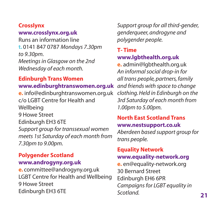#### **Crosslynx**

#### **www.crosslynx.org.uk**

Runs an information line **t.** 0141 847 0787 Mondays 7.30pm to 9.30pm. Meetings in Glasgow on the 2nd Wednesday of each month.

#### **Edinburgh Trans Women www.edinburghtranswomen.org.uk**

**e.** info@edinburghtranswomen.org.uk c/o LGBT Centre for Health and Wellbeing 9 Howe Street Edinburgh EH3 6TE Support group for transsexual women meets 1st Saturday of each month from 7.30pm to 9.00pm.

#### **Polygender Scotland www.androgyny.org.uk**

**e.** committee@androgyny.org.uk LGBT Centre for Health and Wellbeing 9 Howe Street Edinburgh EH3 6TE **21** Scotland.

Support group for all third-gender, genderqueer, androgyne and polygender people.

#### **T- Time www.lgbthealth.org.uk**

**e.** admin@lgbthealth.org.uk An informal social drop-in for all trans people, partners, family and friends with space to change clothing. Held in Edinburgh on the 3rd Saturday of each month from 1.00pm to 5.00pm.

#### **North East Scotland Trans**

#### **www.nestsupport.co.uk**

Aberdeen based support group for trans people.

#### **Equality Network www.equality-network.org**

**e.** en@equality-network.org 30 Bernard Street Edinburgh EH6 6PR Campaigns for LGBT equality in Scotland.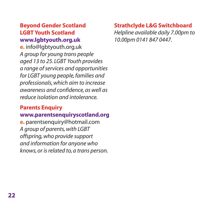#### **Beyond Gender Scotland LGBT Youth Scotland www.lgbtyouth.org.uk**

**e.** info@lgbtyouth.org.uk A group for young trans people aged 13 to 25. LGBT Youth provides a range of services and opportunities for LGBT young people, families and professionals, which aim to increase awareness and confidence, as well as reduce isolation and intolerance.

#### **Parents Enquiry www.parentsenquiryscotland.org**

**e.** parentsenquiry@hotmail.com A group of parents, with LGBT offspring, who provide support and information for anyone who knows, or is related to, a trans person.

#### **Strathclyde L&G Switchboard**

Helpline available daily 7.00pm to 10.00pm 0141 847 0447.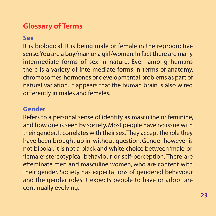#### **Glossary of Terms**

#### **Sex**

It is biological. It is being male or female in the reproductive sense.You are a boy/man or a girl/woman.In fact there are many intermediate forms of sex in nature. Even among humans there is a variety of intermediate forms in terms of anatomy, chromosomes, hormones or developmental problems as part of natural variation. It appears that the human brain is also wired differently in males and females.

#### **Gender**

Refers to a personal sense of identity as masculine or feminine, and how one is seen by society. Most people have no issue with their gender.It correlates with their sex.They accept the role they have been brought up in, without question. Gender however is not bipolar, it is not a black and white choice between 'male' or 'female' stereotypical behaviour or self-perception. There are effeminate men and masculine women, who are content with their gender. Society has expectations of gendered behaviour and the gender roles it expects people to have or adopt are continually evolving.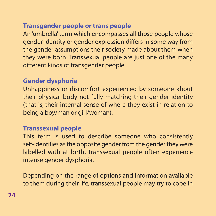#### **Transgender people or trans people**

An 'umbrella' term which encompasses all those people whose gender identity or gender expression differs in some way from the gender assumptions their society made about them when they were born. Transsexual people are just one of the many different kinds of transgender people.

#### **Gender dysphoria**

Unhappiness or discomfort experienced by someone about their physical body not fully matching their gender identity (that is, their internal sense of where they exist in relation to being a boy/man or girl/woman).

#### **Transsexual people**

This term is used to describe someone who consistently self-identifies as the opposite gender from the gender they were labelled with at birth. Transsexual people often experience intense gender dysphoria.

Depending on the range of options and information available to them during their life, transsexual people may try to cope in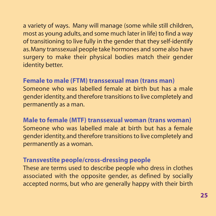a variety of ways. Many will manage (some while still children, most as young adults, and some much later in life) to find a way of transitioning to live fully in the gender that they self-identify as.Many transsexual people take hormones and some also have surgery to make their physical bodies match their gender identity better.

#### **Female to male (FTM) transsexual man (trans man)**

Someone who was labelled female at birth but has a male gender identity, and therefore transitions to live completely and permanently as a man.

#### **Male to female (MTF) transsexual woman (trans woman)**

Someone who was labelled male at birth but has a female gender identity, and therefore transitions to live completely and permanently as a woman.

#### **Transvestite people/cross-dressing people**

These are terms used to describe people who dress in clothes associated with the opposite gender, as defined by socially accepted norms, but who are generally happy with their birth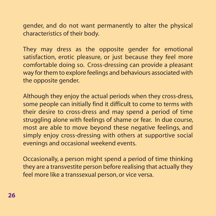gender, and do not want permanently to alter the physical characteristics of their body.

They may dress as the opposite gender for emotional satisfaction, erotic pleasure, or just because they feel more comfortable doing so. Cross-dressing can provide a pleasant way for them to explore feelings and behaviours associated with the opposite gender.

Although they enjoy the actual periods when they cross-dress, some people can initially find it difficult to come to terms with their desire to cross-dress and may spend a period of time struggling alone with feelings of shame or fear. In due course, most are able to move beyond these negative feelings, and simply enjoy cross-dressing with others at supportive social evenings and occasional weekend events.

Occasionally, a person might spend a period of time thinking they are a transvestite person before realising that actually they feel more like a transsexual person, or vice versa.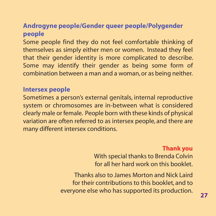#### **Androgyne people/Gender queer people/Polygender people**

Some people find they do not feel comfortable thinking of themselves as simply either men or women. Instead they feel that their gender identity is more complicated to describe. Some may identify their gender as being some form of combination between a man and a woman, or as being neither.

#### **Intersex people**

Sometimes a person's external genitals, internal reproductive system or chromosomes are in-between what is considered clearly male or female. People born with these kinds of physical variation are often referred to as intersex people, and there are many different intersex conditions.

#### **Thank you**

With special thanks to Brenda Colvin for all her hard work on this booklet.

Thanks also to James Morton and Nick Laird for their contributions to this booklet, and to everyone else who has supported its production. **<sup>27</sup>**